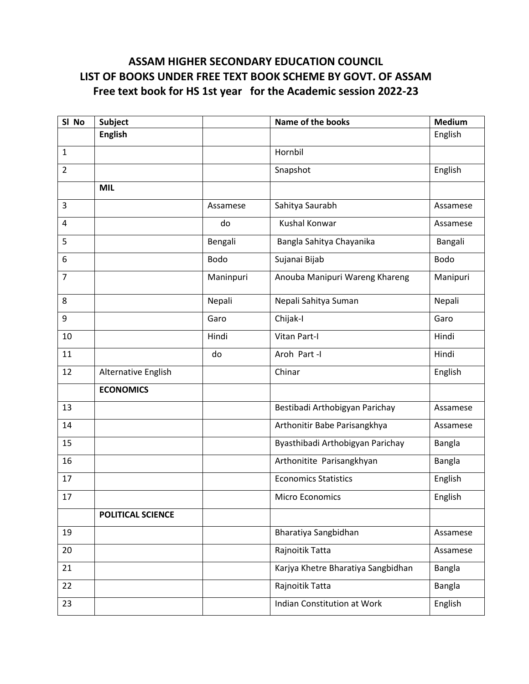## **ASSAM HIGHER SECONDARY EDUCATION COUNCIL LIST OF BOOKS UNDER FREE TEXT BOOK SCHEME BY GOVT. OF ASSAM Free text book for HS 1st year for the Academic session 2022-23**

| SI No          | <b>Subject</b>      |           | Name of the books                  | <b>Medium</b> |
|----------------|---------------------|-----------|------------------------------------|---------------|
|                | <b>English</b>      |           |                                    | English       |
| $\mathbf{1}$   |                     |           | Hornbil                            |               |
| $\overline{2}$ |                     |           | Snapshot                           | English       |
|                | <b>MIL</b>          |           |                                    |               |
| $\overline{3}$ |                     | Assamese  | Sahitya Saurabh                    | Assamese      |
| 4              |                     | do        | <b>Kushal Konwar</b>               | Assamese      |
| 5              |                     | Bengali   | Bangla Sahitya Chayanika           | Bangali       |
| 6              |                     | Bodo      | Sujanai Bijab                      | Bodo          |
| $\overline{7}$ |                     | Maninpuri | Anouba Manipuri Wareng Khareng     | Manipuri      |
| 8              |                     | Nepali    | Nepali Sahitya Suman               | Nepali        |
| 9              |                     | Garo      | Chijak-I                           | Garo          |
| 10             |                     | Hindi     | Vitan Part-I                       | Hindi         |
| 11             |                     | do        | Aroh Part-I                        | Hindi         |
| 12             | Alternative English |           | Chinar                             | English       |
|                | <b>ECONOMICS</b>    |           |                                    |               |
| 13             |                     |           | Bestibadi Arthobigyan Parichay     | Assamese      |
| 14             |                     |           | Arthonitir Babe Parisangkhya       | Assamese      |
| 15             |                     |           | Byasthibadi Arthobigyan Parichay   | Bangla        |
| 16             |                     |           | Arthonitite Parisangkhyan          | Bangla        |
| 17             |                     |           | <b>Economics Statistics</b>        | English       |
| 17             |                     |           | <b>Micro Economics</b>             | English       |
|                | POLITICAL SCIENCE   |           |                                    |               |
| 19             |                     |           | Bharatiya Sangbidhan               | Assamese      |
| 20             |                     |           | Rajnoitik Tatta                    | Assamese      |
| 21             |                     |           | Karjya Khetre Bharatiya Sangbidhan | Bangla        |
| 22             |                     |           | Rajnoitik Tatta                    | Bangla        |
| 23             |                     |           | Indian Constitution at Work        | English       |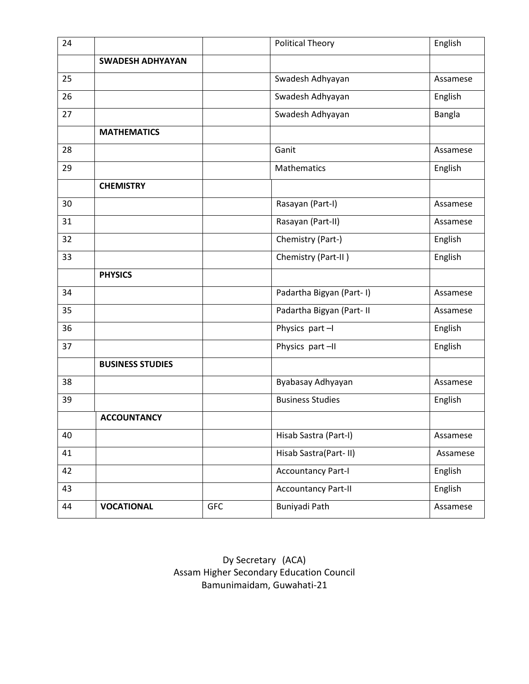| 24 |                         |            | <b>Political Theory</b>    | English  |
|----|-------------------------|------------|----------------------------|----------|
|    | <b>SWADESH ADHYAYAN</b> |            |                            |          |
| 25 |                         |            | Swadesh Adhyayan           | Assamese |
| 26 |                         |            | Swadesh Adhyayan           | English  |
| 27 |                         |            | Swadesh Adhyayan           | Bangla   |
|    | <b>MATHEMATICS</b>      |            |                            |          |
| 28 |                         |            | Ganit                      | Assamese |
| 29 |                         |            | Mathematics                | English  |
|    | <b>CHEMISTRY</b>        |            |                            |          |
| 30 |                         |            | Rasayan (Part-I)           | Assamese |
| 31 |                         |            | Rasayan (Part-II)          | Assamese |
| 32 |                         |            | Chemistry (Part-)          | English  |
| 33 |                         |            | Chemistry (Part-II)        | English  |
|    | <b>PHYSICS</b>          |            |                            |          |
| 34 |                         |            | Padartha Bigyan (Part-I)   | Assamese |
| 35 |                         |            | Padartha Bigyan (Part- II  | Assamese |
| 36 |                         |            | Physics part-I             | English  |
| 37 |                         |            | Physics part-II            | English  |
|    | <b>BUSINESS STUDIES</b> |            |                            |          |
| 38 |                         |            | Byabasay Adhyayan          | Assamese |
| 39 |                         |            | <b>Business Studies</b>    | English  |
|    | <b>ACCOUNTANCY</b>      |            |                            |          |
| 40 |                         |            | Hisab Sastra (Part-I)      | Assamese |
| 41 |                         |            | Hisab Sastra(Part-II)      | Assamese |
| 42 |                         |            | <b>Accountancy Part-I</b>  | English  |
| 43 |                         |            | <b>Accountancy Part-II</b> | English  |
| 44 | <b>VOCATIONAL</b>       | <b>GFC</b> | Buniyadi Path              | Assamese |

Dy Secretary (ACA) Assam Higher Secondary Education Council Bamunimaidam, Guwahati-21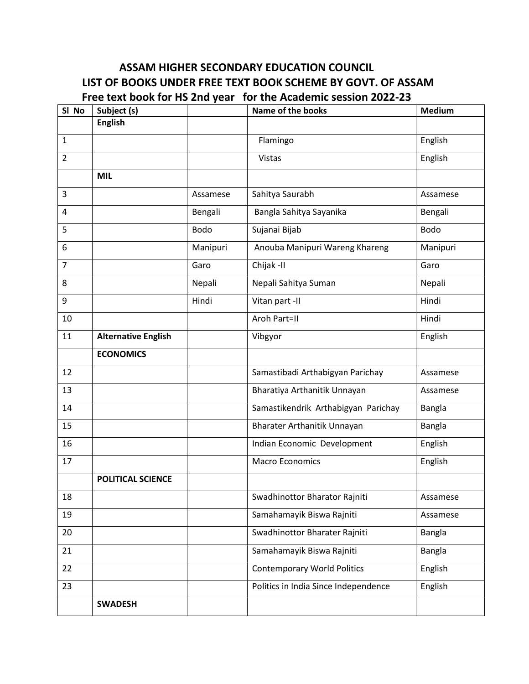## **ASSAM HIGHER SECONDARY EDUCATION COUNCIL LIST OF BOOKS UNDER FREE TEXT BOOK SCHEME BY GOVT. OF ASSAM Free text book for HS 2nd year for the Academic session 2022-23**

| SI No          | Subject (s)                |             | <b>Name of the books</b>             | <b>Medium</b> |
|----------------|----------------------------|-------------|--------------------------------------|---------------|
|                | <b>English</b>             |             |                                      |               |
| 1              |                            |             | Flamingo                             | English       |
| $\overline{2}$ |                            |             | Vistas                               | English       |
|                | <b>MIL</b>                 |             |                                      |               |
| 3              |                            | Assamese    | Sahitya Saurabh                      | Assamese      |
| 4              |                            | Bengali     | Bangla Sahitya Sayanika              | Bengali       |
| 5              |                            | <b>Bodo</b> | Sujanai Bijab                        | <b>Bodo</b>   |
| 6              |                            | Manipuri    | Anouba Manipuri Wareng Khareng       | Manipuri      |
| $\overline{7}$ |                            | Garo        | Chijak - II                          | Garo          |
| 8              |                            | Nepali      | Nepali Sahitya Suman                 | Nepali        |
| 9              |                            | Hindi       | Vitan part -II                       | Hindi         |
| 10             |                            |             | Aroh Part=II                         | Hindi         |
| 11             | <b>Alternative English</b> |             | Vibgyor                              | English       |
|                | <b>ECONOMICS</b>           |             |                                      |               |
| 12             |                            |             | Samastibadi Arthabigyan Parichay     | Assamese      |
| 13             |                            |             | Bharatiya Arthanitik Unnayan         | Assamese      |
| 14             |                            |             | Samastikendrik Arthabigyan Parichay  | Bangla        |
| 15             |                            |             | Bharater Arthanitik Unnayan          | Bangla        |
| 16             |                            |             | Indian Economic Development          | English       |
| 17             |                            |             | <b>Macro Economics</b>               | English       |
|                | <b>POLITICAL SCIENCE</b>   |             |                                      |               |
| 18             |                            |             | Swadhinottor Bharator Rajniti        | Assamese      |
| 19             |                            |             | Samahamayik Biswa Rajniti            | Assamese      |
| 20             |                            |             | Swadhinottor Bharater Rajniti        | Bangla        |
| 21             |                            |             | Samahamayik Biswa Rajniti            | Bangla        |
| 22             |                            |             | <b>Contemporary World Politics</b>   | English       |
| 23             |                            |             | Politics in India Since Independence | English       |
|                | <b>SWADESH</b>             |             |                                      |               |